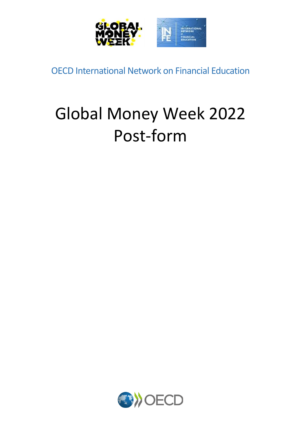

OECD International Network on Financial Education

# Global Money Week 2022 Post-form

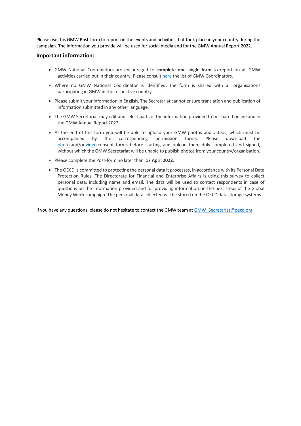Please use this GMW Post-form to report on the events and activities that took place in your country during the campaign. The information you provide will be used for social media and for the GMW Annual Report 2022.

#### **Important information:**

- GMW National Coordinators are encouraged to **complete one single form** to report on all GMW activities carried out in their country. Please consult [here](https://globalmoneyweek.org/about/gmw-national-coordinators.html) the list of GMW Coordinators.
- Where no GMW National Coordinator is identified, the form is shared with all organisations participating in GMW in the respective country.
- Please submit your information in **English**. The Secretariat cannot ensure translation and publication of information submitted in any other language.
- The GMW Secretariat may edit and select parts of the information provided to be shared online and in the GMW Annual Report 2022.
- At the end of this form you will be able to upload your GMW photos and videos, which must be accompanied by the corresponding permission forms. Please download the [photo](https://globalmoneyweek.org/resources/gmw2021/GMW2021-photo-request-form.pdf) and/or [video](https://globalmoneyweek.org/resources/gmw2021/GMW2021-video-request-form.pdf) consent forms before starting and upload them duly completed and signed, without which the GMW Secretariat will be unable to publish photos from your country/organisation.
- Please complete the Post-form no later than **17 April 2022.**
- The OECD is committed to protecting the personal data it processes, in accordance with its Personal Data Protection Rules. The Directorate for Financial and Enterprise Affairs is using this survey to collect personal data, including name and email. The data will be used to contact respondents in case of questions on the information provided and for providing information on the next steps of the Global Money Week campaign. The personal data collected will be stored on the OECD data storage systems.

If you have any questions, please do not hesitate to contact the GMW team a[t GMW\\_Secretariat@oecd.org](mailto:GMW_Secretariat@oecd.org)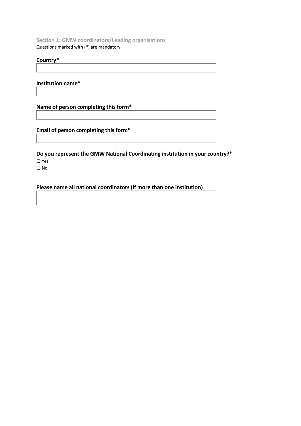**Section 1: GMW coordinators/Leading organisations**  Questions marked with (\*) are mandatory

#### **Country\***

**Institution name\***

**Name of person completing this form\***

**Email of person completing this form\***

**Do you represent the GMW National Coordinating institution in your country?\*** ☐ Yes  $\square$  No

**Please name all national coordinators (if more than one institution)**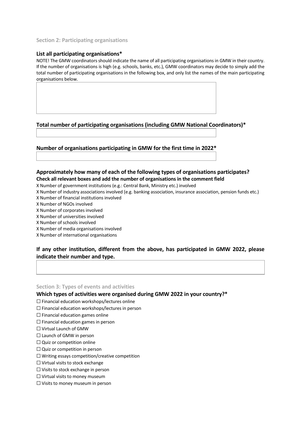#### **Section 2: Participating organisations**

#### **List all participating organisations\***

NOTE! The GMW coordinators should indicate the name of all participating organisations in GMW in their country. If the number of organisations is high (e.g. schools, banks, etc.), GMW coordinators may decide to simply add the total number of participating organisations in the following box, and only list the names of the main participating organisations below.

## **Total number of participating organisations (including GMW National Coordinators)\***

## **Number of organisations participating in GMW for the first time in 2022\***

## **Approximately how many of each of the following types of organisations participates? Check all relevant boxes and add the number of organisations in the comment field**

X Number of government institutions (e.g.: Central Bank, Ministry etc.) involved

- X Number of industry associations involved (e.g. banking association, insurance association, pension funds etc.) X Number of financial institutions involved
- X Number of NGOs involved
- X Number of corporates involved
- X Number of universities involved
- X Number of schools involved
- X Number of media organisations involved
- X Number of international organisations

## **If any other institution, different from the above, has participated in GMW 2022, please indicate their number and type.**

**Section 3: Types of events and activities**

#### **Which types of activities were organised during GMW 2022 in your country?\***

☐ Financial education workshops/lectures online

- ☐ Financial education workshops/lectures in person
- $\Box$  Financial education games online
- ☐ Financial education games in person
- ☐ Virtual Launch of GMW
- □ Launch of GMW in person
- □ Quiz or competition online
- $\Box$  Quiz or competition in person
- $\Box$  Writing essays competition/creative competition
- ☐ Virtual visits to stock exchange
- ☐ Visits to stock exchange in person
- ☐ Virtual visits to money museum
- ☐ Visits to money museum in person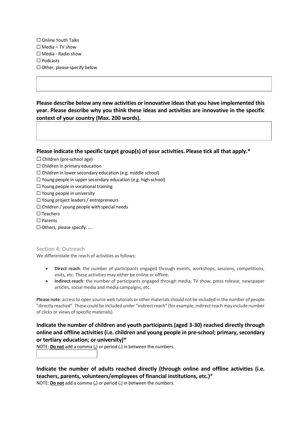☐ Online Youth Talks  $\Box$  Media – TV show ☐ Media - Radio show ☐ Podcasts  $\Box$  Other, please specify below

**Please describe below any new activities or innovative ideas that you have implemented this year. Please describe why you think these ideas and activities are innovative in the specific context of your country (Max. 200 words).**

**Please indicate the specific target group(s) of your activities. Please tick all that apply.\***

- $\Box$  Children (pre-school age)
- $\Box$  Children in primary education
- $\Box$  Children in lower secondary education (e.g. middle school)
- ☐ Young people in upper secondary education (e.g. high school)
- $\Box$  Young people in vocational training
- ☐ Young people in university
- ☐ Young project leaders / entrepreneurs
- $\Box$  Children / young people with special needs
- ☐ Teachers
- ☐ Parents
- ☐ Others, please specify: ….

**Section 4: Outreach**

We differentiate the reach of activities as follows:

- **Direct reach**: the number of participants engaged through events, workshops, sessions, competitions, visits, etc. These activities may either be online or offline.
- **Indirect reach**: the number of participants engaged through media, TV show, press release, newspaper articles, social media and media campaigns, etc.

**Please note**: access to open source web tutorials or other materials should not be included in the number of people "directly reached". These could be included under "indirect reach" (for example, indirect reach may include number of clicks or views of specific materials).

**Indicate the number of children and youth participants (aged 3-30) reached directly through online and offline activities (i.e. children and young people in pre-school; primary, secondary or tertiary education; or university)\***

NOTE: **Do not** add a comma (**,**) or period (**.**) in between the numbers.

**Indicate the number of adults reached directly (through online and offline activities (i.e. teachers, parents, volunteers/employees of financial institutions, etc.)**\*

NOTE: **Do not** add a comma (**,**) or period (**.**) in between the numbers.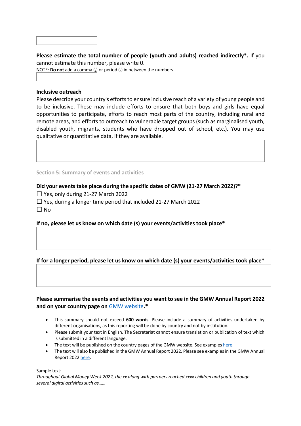## **Please estimate the total number of people (youth and adults) reached indirectly\*.** If you cannot estimate this number, please write 0.

NOTE: **Do not** add a comma (**,**) or period (**.**) in between the numbers.

#### **Inclusive outreach**

Please describe your country's efforts to ensure inclusive reach of a variety of young people and to be inclusive. These may include efforts to ensure that both boys and girls have equal opportunities to participate, efforts to reach most parts of the country, including rural and remote areas, and efforts to outreach to vulnerable target groups (such as marginalised youth, disabled youth, migrants, students who have dropped out of school, etc.). You may use qualitative or quantitative data, if they are available.

#### **Section 5: Summary of events and activities**

## **Did your events take place during the specific dates of GMW (21-27 March 2022)?\***

- $\Box$  Yes, only during 21-27 March 2022
- $\Box$  Yes, during a longer time period that included 21-27 March 2022
- $\Box$  No

## **If no, please let us know on which date (s) your events/activities took place\***

## **If for a longer period, please let us know on which date (s) your events/activities took place\***

## **Please summarise the events and activities you want to see in the GMW Annual Report 2022 and on your country page on** [GMW website](http://globalmoneyweek.org/countries.html)**.\***

- This summary should not exceed **600 words**. Please include a summary of activities undertaken by different organisations, as this reporting will be done by country and not by institution.
- Please submit your text in English. The Secretariat cannot ensure translation or publication of text which is submitted in a different language.
- The text will be published on the country pages of the GMW website. See examples [here.](http://globalmoneyweek.org/countries.html)
- The text will also be published in the GMW Annual Report 2022. Please see examplesin the GMW Annual Report 2022 [here.](https://issuu.com/oecd-daf/docs/gmw_annual_report_2021_pages_view)

Sample text:

*Throughout Global Money Week 2022, the xx along with partners reached xxxx children and youth through several digital activities such as……*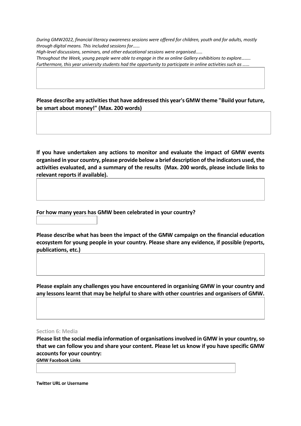*During GMW2022, financial literacy awareness sessions were offered for children, youth and for adults, mostly through digital means. This included sessions for……*

*High-level discussions, seminars, and other educational sessions were organised……*

*Throughout the Week, young people were able to engage in the xx online Gallery exhibitions to explore…….. Furthermore, this year university students had the opportunity to participate in online activities such as ......* 

**Please describe any activities that have addressed this year's GMW theme "Build your future, be smart about money!" (Max. 200 words)**

**If you have undertaken any actions to monitor and evaluate the impact of GMW events organised in your country, please provide below a brief description of the indicators used, the activities evaluated, and a summary of the results (Max. 200 words, please include links to relevant reports if available).**

**For how many years has GMW been celebrated in your country?**

**Please describe what has been the impact of the GMW campaign on the financial education ecosystem for young people in your country. Please share any evidence, if possible (reports, publications, etc.)**

**Please explain any challenges you have encountered in organising GMW in your country and any lessons learnt that may be helpful to share with other countries and organisers of GMW.**

#### **Section 6: Media**

**Please list the social media information of organisations involved in GMW in your country, so that we can follow you and share your content. Please let us know if you have specific GMW accounts for your country: GMW Facebook Links**

**Twitter URL or Username**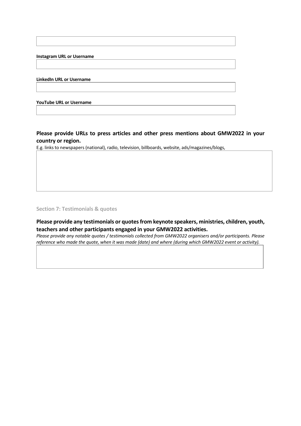**Instagram URL or Username**

**LinkedIn URL or Username**

**YouTube URL or Username**

**Please provide URLs to press articles and other press mentions about GMW2022 in your country or region.**

E.g. links to newspapers (national), radio, television, billboards, website, ads/magazines/blogs,

**Section 7: Testimonials & quotes**

**Please provide any testimonials or quotes from keynote speakers, ministries, children, youth, teachers and other participants engaged in your GMW2022 activities.**

*Please provide any notable quotes / testimonials collected from GMW2022 organisers and/or participants. Please reference who made the quote, when it was made (date) and where (during which GMW2022 event or activity).*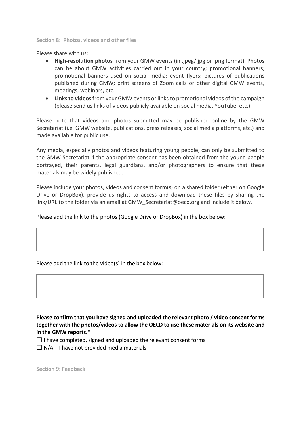**Section 8: Photos, videos and other files**

Please share with us:

- **High-resolution photos** from your GMW events (in .jpeg/.jpg or .png format). Photos can be about GMW activities carried out in your country; promotional banners; promotional banners used on social media; event flyers; pictures of publications published during GMW; print screens of Zoom calls or other digital GMW events, meetings, webinars, etc.
- **Links to videos**from your GMW events or links to promotional videos of the campaign (please send us links of videos publicly available on social media, YouTube, etc.).

Please note that videos and photos submitted may be published online by the GMW Secretariat (i.e. GMW website, publications, press releases, social media platforms, etc.) and made available for public use.

Any media, especially photos and videos featuring young people, can only be submitted to the GMW Secretariat if the appropriate consent has been obtained from the young people portrayed, their parents, legal guardians, and/or photographers to ensure that these materials may be widely published.

Please include your photos, videos and consent form(s) on a shared folder (either on Google Drive or DropBox), provide us rights to access and download these files by sharing the link/URL to the folder via an email at GMW Secretariat@oecd.org and include it below.

Please add the link to the photos (Google Drive or DropBox) in the box below:

Please add the link to the video(s) in the box below:

**Please confirm that you have signed and uploaded the relevant photo / video consent forms together with the photos/videos to allow the OECD to use these materials on its website and in the GMW reports.\***

- $\Box$  I have completed, signed and uploaded the relevant consent forms
- $\Box$  N/A I have not provided media materials

**Section 9: Feedback**